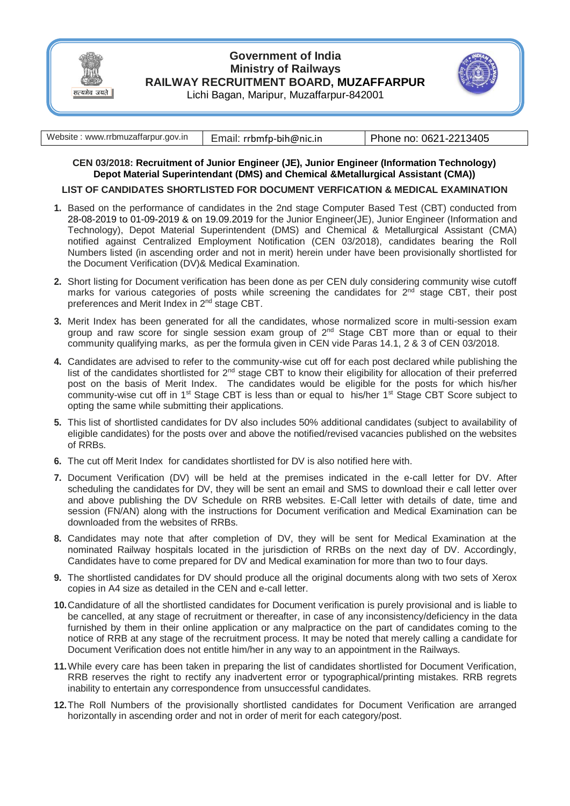

## **Government of India Ministry of Railways RAILWAY RECRUITMENT BOARD, MUZAFFARPUR** Lichi Bagan, Maripur, Muzaffarpur-842001



| Website: www.rrbmuzaffarpur.gov.in | Email: rrbmfp-bih@nic.in | Phone no: 0621-2213405 |
|------------------------------------|--------------------------|------------------------|
|                                    |                          |                        |

## **CEN 03/2018: Recruitment of Junior Engineer (JE), Junior Engineer (Information Technology) Depot Material Superintendant (DMS) and Chemical &Metallurgical Assistant (CMA))**

## **LIST OF CANDIDATES SHORTLISTED FOR DOCUMENT VERFICATION & MEDICAL EXAMINATION**

- **1.** Based on the performance of candidates in the 2nd stage Computer Based Test (CBT) conducted from 28-08-2019 to 01-09-2019 & on 19.09.2019 for the Junior Engineer(JE), Junior Engineer (Information and Technology), Depot Material Superintendent (DMS) and Chemical & Metallurgical Assistant (CMA) notified against Centralized Employment Notification (CEN 03/2018), candidates bearing the Roll Numbers listed (in ascending order and not in merit) herein under have been provisionally shortlisted for the Document Verification (DV)& Medical Examination.
- **2.** Short listing for Document verification has been done as per CEN duly considering community wise cutoff marks for various categories of posts while screening the candidates for  $2^{nd}$  stage CBT, their post preferences and Merit Index in 2nd stage CBT.
- **3.** Merit Index has been generated for all the candidates, whose normalized score in multi-session exam group and raw score for single session exam group of  $2<sup>nd</sup>$  Stage CBT more than or equal to their community qualifying marks, as per the formula given in CEN vide Paras 14.1, 2 & 3 of CEN 03/2018.
- **4.** Candidates are advised to refer to the community-wise cut off for each post declared while publishing the list of the candidates shortlisted for 2<sup>nd</sup> stage CBT to know their eligibility for allocation of their preferred post on the basis of Merit Index. The candidates would be eligible for the posts for which his/her community-wise cut off in 1<sup>st</sup> Stage CBT is less than or equal to his/her 1<sup>st</sup> Stage CBT Score subject to opting the same while submitting their applications.
- **5.** This list of shortlisted candidates for DV also includes 50% additional candidates (subject to availability of eligible candidates) for the posts over and above the notified/revised vacancies published on the websites of RRBs.
- **6.** The cut off Merit Index for candidates shortlisted for DV is also notified here with.
- **7.** Document Verification (DV) will be held at the premises indicated in the e-call letter for DV. After scheduling the candidates for DV, they will be sent an email and SMS to download their e call letter over and above publishing the DV Schedule on RRB websites. E-Call letter with details of date, time and session (FN/AN) along with the instructions for Document verification and Medical Examination can be downloaded from the websites of RRBs.
- **8.** Candidates may note that after completion of DV, they will be sent for Medical Examination at the nominated Railway hospitals located in the jurisdiction of RRBs on the next day of DV. Accordingly, Candidates have to come prepared for DV and Medical examination for more than two to four days.
- **9.** The shortlisted candidates for DV should produce all the original documents along with two sets of Xerox copies in A4 size as detailed in the CEN and e-call letter.
- **10.**Candidature of all the shortlisted candidates for Document verification is purely provisional and is liable to be cancelled, at any stage of recruitment or thereafter, in case of any inconsistency/deficiency in the data furnished by them in their online application or any malpractice on the part of candidates coming to the notice of RRB at any stage of the recruitment process. It may be noted that merely calling a candidate for Document Verification does not entitle him/her in any way to an appointment in the Railways.
- **11.**While every care has been taken in preparing the list of candidates shortlisted for Document Verification, RRB reserves the right to rectify any inadvertent error or typographical/printing mistakes. RRB regrets inability to entertain any correspondence from unsuccessful candidates.
- **12.**The Roll Numbers of the provisionally shortlisted candidates for Document Verification are arranged horizontally in ascending order and not in order of merit for each category/post.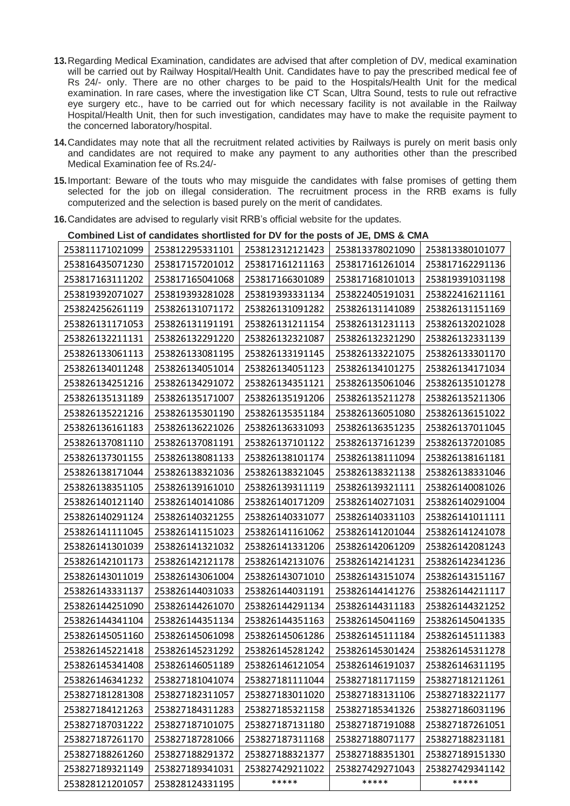- **13.**Regarding Medical Examination, candidates are advised that after completion of DV, medical examination will be carried out by Railway Hospital/Health Unit. Candidates have to pay the prescribed medical fee of Rs 24/- only. There are no other charges to be paid to the Hospitals/Health Unit for the medical examination. In rare cases, where the investigation like CT Scan, Ultra Sound, tests to rule out refractive eye surgery etc., have to be carried out for which necessary facility is not available in the Railway Hospital/Health Unit, then for such investigation, candidates may have to make the requisite payment to the concerned laboratory/hospital.
- **14.**Candidates may note that all the recruitment related activities by Railways is purely on merit basis only and candidates are not required to make any payment to any authorities other than the prescribed Medical Examination fee of Rs.24/-
- **15.**Important: Beware of the touts who may misguide the candidates with false promises of getting them selected for the job on illegal consideration. The recruitment process in the RRB exams is fully computerized and the selection is based purely on the merit of candidates.
- **16.**Candidates are advised to regularly visit RRB's official website for the updates.

| Compined List of candidates shortlisted for DV for the posts of JE, DMS & CMA |                 |                 |                 |                 |  |  |  |  |
|-------------------------------------------------------------------------------|-----------------|-----------------|-----------------|-----------------|--|--|--|--|
| 253811171021099                                                               | 253812295331101 | 253812312121423 | 253813378021090 | 253813380101077 |  |  |  |  |
| 253816435071230                                                               | 253817157201012 | 253817161211163 | 253817161261014 | 253817162291136 |  |  |  |  |
| 253817163111202                                                               | 253817165041068 | 253817166301089 | 253817168101013 | 253819391031198 |  |  |  |  |
| 253819392071027                                                               | 253819393281028 | 253819393331134 | 253822405191031 | 253822416211161 |  |  |  |  |
| 253824256261119                                                               | 253826131071172 | 253826131091282 | 253826131141089 | 253826131151169 |  |  |  |  |
| 253826131171053                                                               | 253826131191191 | 253826131211154 | 253826131231113 | 253826132021028 |  |  |  |  |
| 253826132211131                                                               | 253826132291220 | 253826132321087 | 253826132321290 | 253826132331139 |  |  |  |  |
| 253826133061113                                                               | 253826133081195 | 253826133191145 | 253826133221075 | 253826133301170 |  |  |  |  |
| 253826134011248                                                               | 253826134051014 | 253826134051123 | 253826134101275 | 253826134171034 |  |  |  |  |
| 253826134251216                                                               | 253826134291072 | 253826134351121 | 253826135061046 | 253826135101278 |  |  |  |  |
| 253826135131189                                                               | 253826135171007 | 253826135191206 | 253826135211278 | 253826135211306 |  |  |  |  |
| 253826135221216                                                               | 253826135301190 | 253826135351184 | 253826136051080 | 253826136151022 |  |  |  |  |
| 253826136161183                                                               | 253826136221026 | 253826136331093 | 253826136351235 | 253826137011045 |  |  |  |  |
| 253826137081110                                                               | 253826137081191 | 253826137101122 | 253826137161239 | 253826137201085 |  |  |  |  |
| 253826137301155                                                               | 253826138081133 | 253826138101174 | 253826138111094 | 253826138161181 |  |  |  |  |
| 253826138171044                                                               | 253826138321036 | 253826138321045 | 253826138321138 | 253826138331046 |  |  |  |  |
| 253826138351105                                                               | 253826139161010 | 253826139311119 | 253826139321111 | 253826140081026 |  |  |  |  |
| 253826140121140                                                               | 253826140141086 | 253826140171209 | 253826140271031 | 253826140291004 |  |  |  |  |
| 253826140291124                                                               | 253826140321255 | 253826140331077 | 253826140331103 | 253826141011111 |  |  |  |  |
| 253826141111045                                                               | 253826141151023 | 253826141161062 | 253826141201044 | 253826141241078 |  |  |  |  |
| 253826141301039                                                               | 253826141321032 | 253826141331206 | 253826142061209 | 253826142081243 |  |  |  |  |
| 253826142101173                                                               | 253826142121178 | 253826142131076 | 253826142141231 | 253826142341236 |  |  |  |  |
| 253826143011019                                                               | 253826143061004 | 253826143071010 | 253826143151074 | 253826143151167 |  |  |  |  |
| 253826143331137                                                               | 253826144031033 | 253826144031191 | 253826144141276 | 253826144211117 |  |  |  |  |
| 253826144251090                                                               | 253826144261070 | 253826144291134 | 253826144311183 | 253826144321252 |  |  |  |  |
| 253826144341104                                                               | 253826144351134 | 253826144351163 | 253826145041169 | 253826145041335 |  |  |  |  |
| 253826145051160                                                               | 253826145061098 | 253826145061286 | 253826145111184 | 253826145111383 |  |  |  |  |
| 253826145221418                                                               | 253826145231292 | 253826145281242 | 253826145301424 | 253826145311278 |  |  |  |  |
| 253826145341408                                                               | 253826146051189 | 253826146121054 | 253826146191037 | 253826146311195 |  |  |  |  |
| 253826146341232                                                               | 253827181041074 | 253827181111044 | 253827181171159 | 253827181211261 |  |  |  |  |
| 253827181281308                                                               | 253827182311057 | 253827183011020 | 253827183131106 | 253827183221177 |  |  |  |  |
| 253827184121263                                                               | 253827184311283 | 253827185321158 | 253827185341326 | 253827186031196 |  |  |  |  |
| 253827187031222                                                               | 253827187101075 | 253827187131180 | 253827187191088 | 253827187261051 |  |  |  |  |
| 253827187261170                                                               | 253827187281066 | 253827187311168 | 253827188071177 | 253827188231181 |  |  |  |  |
| 253827188261260                                                               | 253827188291372 | 253827188321377 | 253827188351301 | 253827189151330 |  |  |  |  |
| 253827189321149                                                               | 253827189341031 | 253827429211022 | 253827429271043 | 253827429341142 |  |  |  |  |
| 253828121201057                                                               | 253828124331195 | *****           | *****           | *****           |  |  |  |  |

**Combined List of candidates shortlisted for DV for the posts of JE, DMS & CMA**